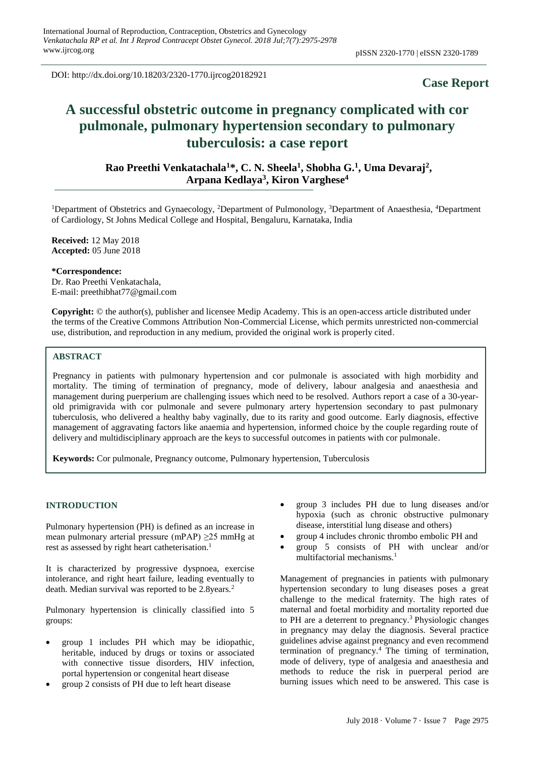DOI: http://dx.doi.org/10.18203/2320-1770.ijrcog20182921

## **Case Report**

# **A successful obstetric outcome in pregnancy complicated with cor pulmonale, pulmonary hypertension secondary to pulmonary tuberculosis: a case report**

**Rao Preethi Venkatachala<sup>1</sup>\*, C. N. Sheela<sup>1</sup> , Shobha G. 1 , Uma Devaraj<sup>2</sup> , Arpana Kedlaya<sup>3</sup> , Kiron Varghese<sup>4</sup>**

<sup>1</sup>Department of Obstetrics and Gynaecology, <sup>2</sup>Department of Pulmonology, <sup>3</sup>Department of Anaesthesia, <sup>4</sup>Department of Cardiology, St Johns Medical College and Hospital, Bengaluru, Karnataka, India

**Received:** 12 May 2018 **Accepted:** 05 June 2018

**\*Correspondence:**

Dr. Rao Preethi Venkatachala, E-mail: preethibhat77@gmail.com

**Copyright:** © the author(s), publisher and licensee Medip Academy. This is an open-access article distributed under the terms of the Creative Commons Attribution Non-Commercial License, which permits unrestricted non-commercial use, distribution, and reproduction in any medium, provided the original work is properly cited.

### **ABSTRACT**

Pregnancy in patients with pulmonary hypertension and cor pulmonale is associated with high morbidity and mortality. The timing of termination of pregnancy, mode of delivery, labour analgesia and anaesthesia and management during puerperium are challenging issues which need to be resolved. Authors report a case of a 30-yearold primigravida with cor pulmonale and severe pulmonary artery hypertension secondary to past pulmonary tuberculosis, who delivered a healthy baby vaginally, due to its rarity and good outcome. Early diagnosis, effective management of aggravating factors like anaemia and hypertension, informed choice by the couple regarding route of delivery and multidisciplinary approach are the keys to successful outcomes in patients with cor pulmonale.

**Keywords:** Cor pulmonale, Pregnancy outcome, Pulmonary hypertension, Tuberculosis

### **INTRODUCTION**

Pulmonary hypertension (PH) is defined as an increase in mean pulmonary arterial pressure (mPAP) ≥25 mmHg at rest as assessed by right heart catheterisation.<sup>1</sup>

It is characterized by progressive dyspnoea, exercise intolerance, and right heart failure, leading eventually to death. Median survival was reported to be 2.8years.<sup>2</sup>

Pulmonary hypertension is clinically classified into 5 groups:

- group 1 includes PH which may be idiopathic, heritable, induced by drugs or toxins or associated with connective tissue disorders, HIV infection, portal hypertension or congenital heart disease
- group 2 consists of PH due to left heart disease
- group 3 includes PH due to lung diseases and/or hypoxia (such as chronic obstructive pulmonary disease, interstitial lung disease and others)
- group 4 includes chronic thrombo embolic PH and
- group 5 consists of PH with unclear and/or multifactorial mechanisms.<sup>1</sup>

Management of pregnancies in patients with pulmonary hypertension secondary to lung diseases poses a great challenge to the medical fraternity. The high rates of maternal and foetal morbidity and mortality reported due to PH are a deterrent to pregnancy.<sup>3</sup> Physiologic changes in pregnancy may delay the diagnosis. Several practice guidelines advise against pregnancy and even recommend termination of pregnancy.<sup>4</sup> The timing of termination, mode of delivery, type of analgesia and anaesthesia and methods to reduce the risk in puerperal period are burning issues which need to be answered. This case is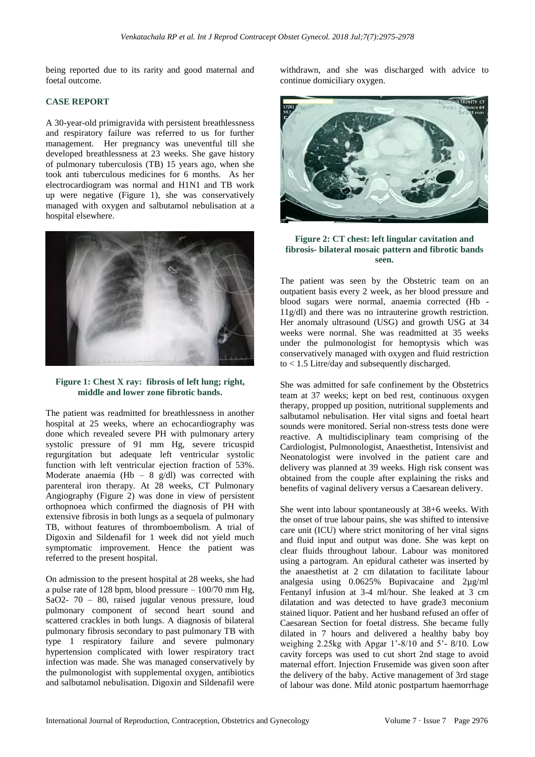being reported due to its rarity and good maternal and foetal outcome.

### **CASE REPORT**

A 30-year-old primigravida with persistent breathlessness and respiratory failure was referred to us for further management. Her pregnancy was uneventful till she developed breathlessness at 23 weeks. She gave history of pulmonary tuberculosis (TB) 15 years ago, when she took anti tuberculous medicines for 6 months. As her electrocardiogram was normal and H1N1 and TB work up were negative (Figure 1), she was conservatively managed with oxygen and salbutamol nebulisation at a hospital elsewhere.



### **Figure 1: Chest X ray: fibrosis of left lung; right, middle and lower zone fibrotic bands.**

The patient was readmitted for breathlessness in another hospital at 25 weeks, where an echocardiography was done which revealed severe PH with pulmonary artery systolic pressure of 91 mm Hg, severe tricuspid regurgitation but adequate left ventricular systolic function with left ventricular ejection fraction of 53%. Moderate anaemia (Hb – 8 g/dl) was corrected with parenteral iron therapy. At 28 weeks, CT Pulmonary Angiography (Figure 2) was done in view of persistent orthopnoea which confirmed the diagnosis of PH with extensive fibrosis in both lungs as a sequela of pulmonary TB, without features of thromboembolism. A trial of Digoxin and Sildenafil for 1 week did not yield much symptomatic improvement. Hence the patient was referred to the present hospital.

On admission to the present hospital at 28 weeks, she had a pulse rate of 128 bpm, blood pressure  $-100/70$  mm Hg, SaO2- 70 – 80, raised jugular venous pressure, loud pulmonary component of second heart sound and scattered crackles in both lungs. A diagnosis of bilateral pulmonary fibrosis secondary to past pulmonary TB with type 1 respiratory failure and severe pulmonary hypertension complicated with lower respiratory tract infection was made. She was managed conservatively by the pulmonologist with supplemental oxygen, antibiotics and salbutamol nebulisation. Digoxin and Sildenafil were withdrawn, and she was discharged with advice to continue domiciliary oxygen.



### **Figure 2: CT chest: left lingular cavitation and fibrosis- bilateral mosaic pattern and fibrotic bands seen.**

The patient was seen by the Obstetric team on an outpatient basis every 2 week, as her blood pressure and blood sugars were normal, anaemia corrected (Hb - 11g/dl) and there was no intrauterine growth restriction. Her anomaly ultrasound (USG) and growth USG at 34 weeks were normal. She was readmitted at 35 weeks under the pulmonologist for hemoptysis which was conservatively managed with oxygen and fluid restriction to < 1.5 Litre/day and subsequently discharged.

She was admitted for safe confinement by the Obstetrics team at 37 weeks; kept on bed rest, continuous oxygen therapy, propped up position, nutritional supplements and salbutamol nebulisation. Her vital signs and foetal heart sounds were monitored. Serial non-stress tests done were reactive. A multidisciplinary team comprising of the Cardiologist, Pulmonologist, Anaesthetist, Intensivist and Neonatologist were involved in the patient care and delivery was planned at 39 weeks. High risk consent was obtained from the couple after explaining the risks and benefits of vaginal delivery versus a Caesarean delivery.

She went into labour spontaneously at 38+6 weeks. With the onset of true labour pains, she was shifted to intensive care unit (ICU) where strict monitoring of her vital signs and fluid input and output was done. She was kept on clear fluids throughout labour. Labour was monitored using a partogram. An epidural catheter was inserted by the anaesthetist at 2 cm dilatation to facilitate labour analgesia using 0.0625% Bupivacaine and 2µg/ml Fentanyl infusion at 3-4 ml/hour. She leaked at 3 cm dilatation and was detected to have grade3 meconium stained liquor. Patient and her husband refused an offer of Caesarean Section for foetal distress. She became fully dilated in 7 hours and delivered a healthy baby boy weighing 2.25kg with Apgar 1'-8/10 and 5'- 8/10. Low cavity forceps was used to cut short 2nd stage to avoid maternal effort. Injection Frusemide was given soon after the delivery of the baby. Active management of 3rd stage of labour was done. Mild atonic postpartum haemorrhage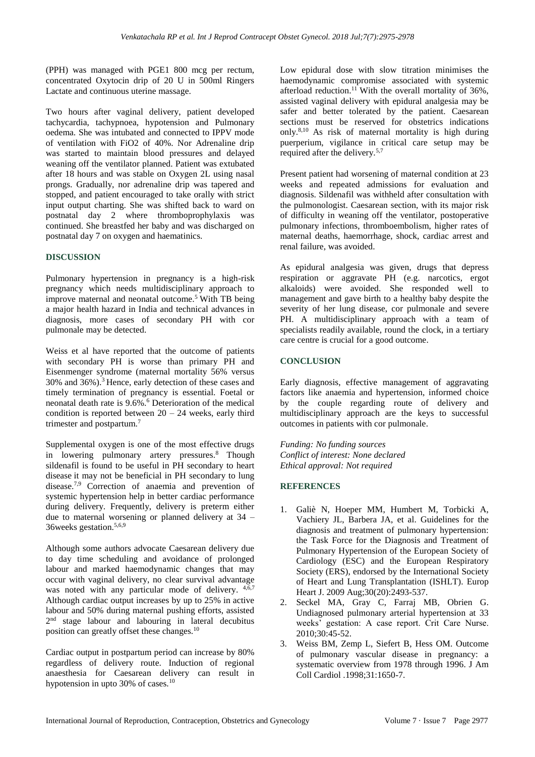(PPH) was managed with PGE1 800 mcg per rectum, concentrated Oxytocin drip of 20 U in 500ml Ringers Lactate and continuous uterine massage.

Two hours after vaginal delivery, patient developed tachycardia, tachypnoea, hypotension and Pulmonary oedema. She was intubated and connected to IPPV mode of ventilation with FiO2 of 40%. Nor Adrenaline drip was started to maintain blood pressures and delayed weaning off the ventilator planned. Patient was extubated after 18 hours and was stable on Oxygen 2L using nasal prongs. Gradually, nor adrenaline drip was tapered and stopped, and patient encouraged to take orally with strict input output charting. She was shifted back to ward on postnatal day 2 where thromboprophylaxis was continued. She breastfed her baby and was discharged on postnatal day 7 on oxygen and haematinics.

### **DISCUSSION**

Pulmonary hypertension in pregnancy is a high-risk pregnancy which needs multidisciplinary approach to improve maternal and neonatal outcome.<sup>5</sup> With TB being a major health hazard in India and technical advances in diagnosis, more cases of secondary PH with cor pulmonale may be detected.

Weiss et al have reported that the outcome of patients with secondary PH is worse than primary PH and Eisenmenger syndrome (maternal mortality 56% versus 30% and 36%).<sup>3</sup>Hence, early detection of these cases and timely termination of pregnancy is essential. Foetal or neonatal death rate is 9.6%.<sup>6</sup> Deterioration of the medical condition is reported between  $20 - 24$  weeks, early third trimester and postpartum.<sup>7</sup>

Supplemental oxygen is one of the most effective drugs in lowering pulmonary artery pressures.<sup>8</sup> Though sildenafil is found to be useful in PH secondary to heart disease it may not be beneficial in PH secondary to lung disease.7,9 Correction of anaemia and prevention of systemic hypertension help in better cardiac performance during delivery. Frequently, delivery is preterm either due to maternal worsening or planned delivery at 34 – 36weeks gestation.5,6,9

Although some authors advocate Caesarean delivery due to day time scheduling and avoidance of prolonged labour and marked haemodynamic changes that may occur with vaginal delivery, no clear survival advantage was noted with any particular mode of delivery.  $4,6,7$ Although cardiac output increases by up to 25% in active labour and 50% during maternal pushing efforts, assisted 2<sup>nd</sup> stage labour and labouring in lateral decubitus position can greatly offset these changes.<sup>10</sup>

Cardiac output in postpartum period can increase by 80% regardless of delivery route. Induction of regional anaesthesia for Caesarean delivery can result in hypotension in upto 30% of cases.<sup>10</sup>

Low epidural dose with slow titration minimises the haemodynamic compromise associated with systemic afterload reduction. <sup>11</sup>With the overall mortality of 36%, assisted vaginal delivery with epidural analgesia may be safer and better tolerated by the patient. Caesarean sections must be reserved for obstetrics indications only.8,10 As risk of maternal mortality is high during puerperium, vigilance in critical care setup may be required after the delivery.5,7

Present patient had worsening of maternal condition at 23 weeks and repeated admissions for evaluation and diagnosis. Sildenafil was withheld after consultation with the pulmonologist. Caesarean section, with its major risk of difficulty in weaning off the ventilator, postoperative pulmonary infections, thromboembolism, higher rates of maternal deaths, haemorrhage, shock, cardiac arrest and renal failure, was avoided.

As epidural analgesia was given, drugs that depress respiration or aggravate PH (e.g. narcotics, ergot alkaloids) were avoided. She responded well to management and gave birth to a healthy baby despite the severity of her lung disease, cor pulmonale and severe PH. A multidisciplinary approach with a team of specialists readily available, round the clock, in a tertiary care centre is crucial for a good outcome.

#### **CONCLUSION**

Early diagnosis, effective management of aggravating factors like anaemia and hypertension, informed choice by the couple regarding route of delivery and multidisciplinary approach are the keys to successful outcomes in patients with cor pulmonale.

*Funding: No funding sources Conflict of interest: None declared Ethical approval: Not required*

### **REFERENCES**

- 1. Galiè N, Hoeper MM, Humbert M, Torbicki A, Vachiery JL, Barbera JA, et al. Guidelines for the diagnosis and treatment of pulmonary hypertension: the Task Force for the Diagnosis and Treatment of Pulmonary Hypertension of the European Society of Cardiology (ESC) and the European Respiratory Society (ERS), endorsed by the International Society of Heart and Lung Transplantation (ISHLT). Europ Heart J. 2009 Aug;30(20):2493-537.
- 2. Seckel MA, Gray C, Farraj MB, Obrien G. Undiagnosed pulmonary arterial hypertension at 33 weeks' gestation: A case report. Crit Care Nurse. 2010;30:45-52.
- 3. Weiss BM, Zemp L, Siefert B, Hess OM. Outcome of pulmonary vascular disease in pregnancy: a systematic overview from 1978 through 1996. J Am Coll Cardiol .1998;31:1650-7.